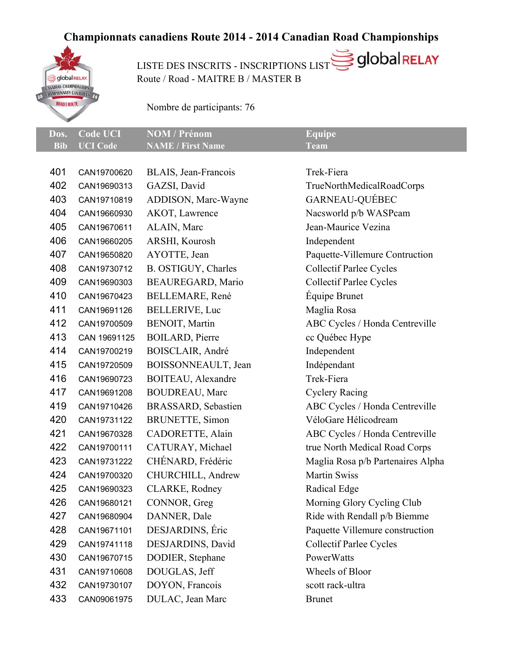## **Championnats canadiens Route 2014 - 2014 Canadian Road Championships**



USTE DES INSCRITS - INSCRIPTIONS LIST SOLODO RELAY Route / Road - MAITRE B / MASTER B

Nombre de participants: 76

|                     | Dos. Code UCI NOM / Prénom | Equipe      |
|---------------------|----------------------------|-------------|
| <b>Bib UCI</b> Code | <b>NAME / First Name</b>   | <b>Team</b> |

| 401 | CAN19700620  | BLAIS, Jean-Francois    | Trek-Fiera                        |
|-----|--------------|-------------------------|-----------------------------------|
| 402 | CAN19690313  | GAZSI, David            | TrueNorthMedicalRoadCorps         |
| 403 | CAN19710819  | ADDISON, Marc-Wayne     | GARNEAU-QUÉBEC                    |
| 404 | CAN19660930  | AKOT, Lawrence          | Nacsworld p/b WASPcam             |
| 405 | CAN19670611  | ALAIN, Marc             | Jean-Maurice Vezina               |
| 406 | CAN19660205  | ARSHI, Kourosh          | Independent                       |
| 407 | CAN19650820  | AYOTTE, Jean            | Paquette-Villemure Contruction    |
| 408 | CAN19730712  | B. OSTIGUY, Charles     | <b>Collectif Parlee Cycles</b>    |
| 409 | CAN19690303  | BEAUREGARD, Mario       | <b>Collectif Parlee Cycles</b>    |
| 410 | CAN19670423  | BELLEMARE, René         | Équipe Brunet                     |
| 411 | CAN19691126  | BELLERIVE, Luc          | Maglia Rosa                       |
| 412 | CAN19700509  | BENOIT, Martin          | ABC Cycles / Honda Centreville    |
| 413 | CAN 19691125 | <b>BOILARD</b> , Pierre | cc Québec Hype                    |
| 414 | CAN19700219  | BOISCLAIR, André        | Independent                       |
| 415 | CAN19720509  | BOISSONNEAULT, Jean     | Indépendant                       |
| 416 | CAN19690723  | BOITEAU, Alexandre      | Trek-Fiera                        |
| 417 | CAN19691208  | <b>BOUDREAU, Marc</b>   | <b>Cyclery Racing</b>             |
| 419 | CAN19710426  | BRASSARD, Sebastien     | ABC Cycles / Honda Centreville    |
| 420 | CAN19731122  | <b>BRUNETTE, Simon</b>  | VéloGare Hélicodream              |
| 421 | CAN19670328  | CADORETTE, Alain        | ABC Cycles / Honda Centreville    |
| 422 | CAN19700111  | CATURAY, Michael        | true North Medical Road Corps     |
| 423 | CAN19731222  | CHÉNARD, Frédéric       | Maglia Rosa p/b Partenaires Alpha |
| 424 | CAN19700320  | CHURCHILL, Andrew       | <b>Martin Swiss</b>               |
| 425 | CAN19690323  | CLARKE, Rodney          | Radical Edge                      |
| 426 | CAN19680121  | CONNOR, Greg            | Morning Glory Cycling Club        |
| 427 | CAN19680904  | DANNER, Dale            | Ride with Rendall p/b Biemme      |
| 428 | CAN19671101  | DESJARDINS, Éric        | Paquette Villemure construction   |
| 429 | CAN19741118  | DESJARDINS, David       | <b>Collectif Parlee Cycles</b>    |
| 430 | CAN19670715  | DODIER, Stephane        | PowerWatts                        |
| 431 | CAN19710608  | DOUGLAS, Jeff           | Wheels of Bloor                   |
| 432 | CAN19730107  | DOYON, Francois         | scott rack-ultra                  |
| 433 | CAN09061975  | DULAC, Jean Marc        | <b>Brunet</b>                     |
|     |              |                         |                                   |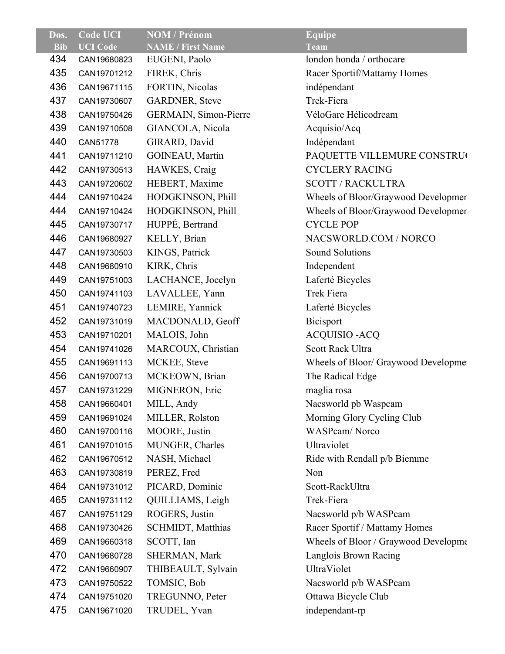| Dos.       | <b>Code UCI</b> | <b>NOM / Prénom</b>      | <b>Equipe</b>                        |
|------------|-----------------|--------------------------|--------------------------------------|
| <b>Bib</b> | <b>UCI</b> Code | <b>NAME / First Name</b> | <b>Team</b>                          |
| 434        | CAN19680823     | EUGENI, Paolo            | london honda / orthocare             |
| 435        | CAN19701212     | FIREK, Chris             | Racer Sportif/Mattamy Homes          |
| 436        | CAN19671115     | FORTIN, Nicolas          | indépendant                          |
| 437        | CAN19730607     | <b>GARDNER, Steve</b>    | Trek-Fiera                           |
| 438        | CAN19750426     | GERMAIN, Simon-Pierre    | VéloGare Hélicodream                 |
| 439        | CAN19710508     | GIANCOLA, Nicola         | Acquisio/Acq                         |
| 440        | CAN51778        | GIRARD, David            | Indépendant                          |
| 441        | CAN19711210     | GOINEAU, Martin          | PAQUETTE VILLEMURE CONSTRUC          |
| 442        | CAN19730513     | HAWKES, Craig            | <b>CYCLERY RACING</b>                |
| 443        | CAN19720602     | HEBERT, Maxime           | <b>SCOTT / RACKULTRA</b>             |
| 444        | CAN19710424     | HODGKINSON, Phill        | Wheels of Bloor/Graywood Developmen  |
| 444        | CAN19710424     | HODGKINSON, Phill        | Wheels of Bloor/Graywood Developmen  |
| 445        | CAN19730717     | HUPPÉ, Bertrand          | <b>CYCLE POP</b>                     |
| 446        | CAN19680927     | KELLY, Brian             | NACSWORLD.COM / NORCO                |
| 447        | CAN19730503     | KINGS, Patrick           | <b>Sound Solutions</b>               |
| 448        | CAN19680910     | KIRK, Chris              | Independent                          |
| 449        | CAN19751003     | LACHANCE, Jocelyn        | Laferté Bicycles                     |
| 450        | CAN19741103     | LAVALLEE, Yann           | Trek Fiera                           |
| 451        | CAN19740723     | LEMIRE, Yannick          | Laferté Bicycles                     |
| 452        | CAN19731019     | MACDONALD, Geoff         | <b>Bicisport</b>                     |
| 453        | CAN19710201     | MALOIS, John             | <b>ACQUISIO - ACQ</b>                |
| 454        | CAN19741026     | MARCOUX, Christian       | Scott Rack Ultra                     |
| 455        | CAN19691113     | MCKEE, Steve             | Wheels of Bloor/ Graywood Developmer |
| 456        | CAN19700713     | MCKEOWN, Brian           | The Radical Edge                     |
| 457        | CAN19731229     | MIGNERON, Eric           | maglia rosa                          |
| 458        | CAN19660401     | MILL, Andy               | Nacsworld pb Waspcam                 |
| 459        | CAN19691024     | MILLER, Rolston          | Morning Glory Cycling Club           |
| 460        | CAN19700116     | MOORE, Justin            | <b>WASPcam/Norco</b>                 |
| 461        | CAN19701015     | MUNGER, Charles          | Ultraviolet                          |
| 462        | CAN19670512     | NASH, Michael            | Ride with Rendall p/b Biemme         |
| 463        | CAN19730819     | PEREZ, Fred              | Non                                  |
| 464        | CAN19731012     | PICARD, Dominic          | Scott-RackUltra                      |
| 465        | CAN19731112     | QUILLIAMS, Leigh         | Trek-Fiera                           |
| 467        | CAN19751129     | ROGERS, Justin           | Nacsworld p/b WASPcam                |
| 468        | CAN19730426     | <b>SCHMIDT, Matthias</b> | Racer Sportif / Mattamy Homes        |
| 469        | CAN19660318     | SCOTT, Ian               | Wheels of Bloor / Graywood Developme |
| 470        | CAN19680728     | SHERMAN, Mark            | Langlois Brown Racing                |
| 472        | CAN19660907     | THIBEAULT, Sylvain       | UltraViolet                          |
| 473        | CAN19750522     | TOMSIC, Bob              | Nacsworld p/b WASPcam                |
| 474        | CAN19751020     | TREGUNNO, Peter          | Ottawa Bicycle Club                  |
| 475        | CAN19671020     | TRUDEL, Yvan             | independant-rp                       |